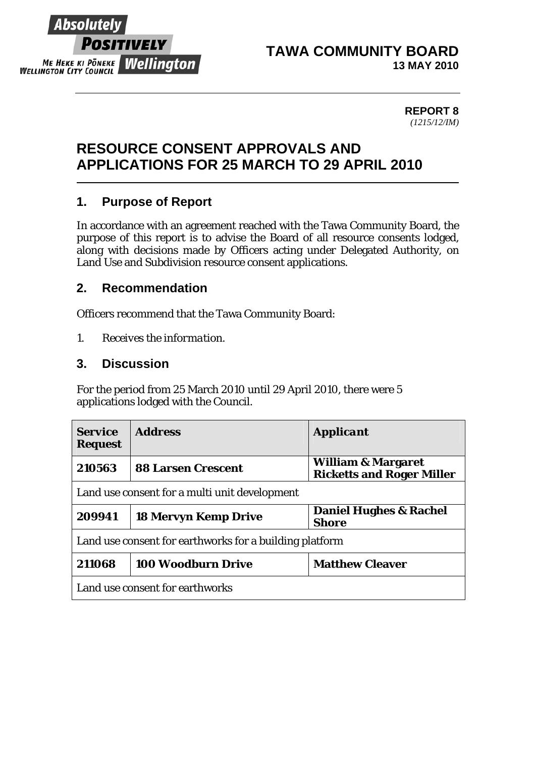

#### **TAWA COMMUNITY BOARD 13 MAY 2010**

#### **REPORT 8**  *(1215/12/IM)*

# **RESOURCE CONSENT APPROVALS AND APPLICATIONS FOR 25 MARCH TO 29 APRIL 2010**

## **1. Purpose of Report**

In accordance with an agreement reached with the Tawa Community Board, the purpose of this report is to advise the Board of all resource consents lodged, along with decisions made by Officers acting under Delegated Authority, on Land Use and Subdivision resource consent applications.

## **2. Recommendation**

Officers recommend that the Tawa Community Board:

*1. Receives the information.* 

### **3. Discussion**

For the period from 25 March 2010 until 29 April 2010, there were 5 applications lodged with the Council.

| <b>Service</b><br><b>Request</b>                        | <b>Address</b>              | <b>Applicant</b>                                                  |  |  |
|---------------------------------------------------------|-----------------------------|-------------------------------------------------------------------|--|--|
| 210563                                                  | <b>88 Larsen Crescent</b>   | <b>William &amp; Margaret</b><br><b>Ricketts and Roger Miller</b> |  |  |
| Land use consent for a multi unit development           |                             |                                                                   |  |  |
| 209941                                                  | <b>18 Mervyn Kemp Drive</b> | <b>Daniel Hughes &amp; Rachel</b><br><b>Shore</b>                 |  |  |
| Land use consent for earthworks for a building platform |                             |                                                                   |  |  |
| 211068                                                  | <b>100 Woodburn Drive</b>   | <b>Matthew Cleaver</b>                                            |  |  |
| Land use consent for earthworks                         |                             |                                                                   |  |  |